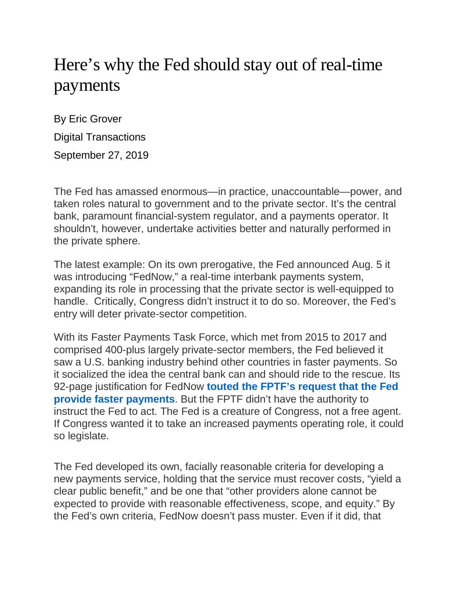## Here's why the Fed should stay out of real-time payments

By Eric Grover Digital Transactions September 27, 2019

The Fed has amassed enormous—in practice, unaccountable—power, and taken roles natural to government and to the private sector. It's the central bank, paramount financial-system regulator, and a payments operator. It shouldn't, however, undertake activities better and naturally performed in the private sphere.

The latest example: On its own prerogative, the Fed announced Aug. 5 it was introducing "FedNow," a real-time interbank payments system, expanding its role in processing that the private sector is well-equipped to handle. Critically, Congress didn't instruct it to do so. Moreover, the Fed's entry will deter private-sector competition.

With its Faster Payments Task Force, which met from 2015 to 2017 and comprised 400-plus largely private-sector members, the Fed believed it saw a U.S. banking industry behind other countries in faster payments. So it socialized the idea the central bank can and should ride to the rescue. Its 92-page justification for FedNow **touted the FPTF's [request](https://www.federalreserve.gov/newsevents/pressreleases/files/other20190805a1.pdf) that the Fed provide faster [payments](https://www.federalreserve.gov/newsevents/pressreleases/files/other20190805a1.pdf)**. But the FPTF didn't have the authority to instruct the Fed to act. The Fed is a creature of Congress, not a free agent. If Congress wanted it to take an increased payments operating role, it could so legislate.

The Fed developed its own, facially reasonable criteria for developing a new payments service, holding that the service must recover costs, "yield a clear public benefit," and be one that "other providers alone cannot be expected to provide with reasonable effectiveness, scope, and equity." By the Fed's own criteria, FedNow doesn't pass muster. Even if it did, that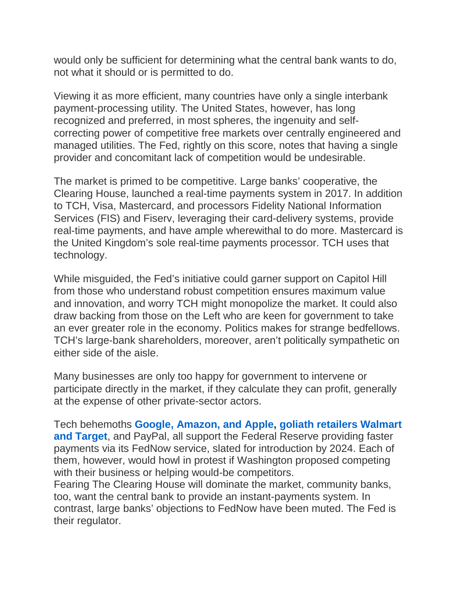would only be sufficient for determining what the central bank wants to do, not what it should or is permitted to do.

Viewing it as more efficient, many countries have only a single interbank payment-processing utility. The United States, however, has long recognized and preferred, in most spheres, the ingenuity and selfcorrecting power of competitive free markets over centrally engineered and managed utilities. The Fed, rightly on this score, notes that having a single provider and concomitant lack of competition would be undesirable.

The market is primed to be competitive. Large banks' cooperative, the Clearing House, launched a real-time payments system in 2017. In addition to TCH, Visa, Mastercard, and processors Fidelity National Information Services (FIS) and Fiserv, leveraging their card-delivery systems, provide real-time payments, and have ample wherewithal to do more. Mastercard is the United Kingdom's sole real-time payments processor. TCH uses that technology.

While misguided, the Fed's initiative could garner support on Capitol Hill from those who understand robust competition ensures maximum value and innovation, and worry TCH might monopolize the market. It could also draw backing from those on the Left who are keen for government to take an ever greater role in the economy. Politics makes for strange bedfellows. TCH's large-bank shareholders, moreover, aren't politically sympathetic on either side of the aisle.

Many businesses are only too happy for government to intervene or participate directly in the market, if they calculate they can profit, generally at the expense of other private-sector actors.

Tech behemoths **Google, [Amazon,](https://s22127.pcdn.co/wp-content/uploads/2018/12/fin-fed-real-time-payments-docket-op-1625-final.pdf) and Apple, goliath retailers [Walmart](https://www.wsj.com/articles/for-walmart-and-target-the-fed-holds-the-keys-to-faster-payments-1544097601) and [Target](https://www.wsj.com/articles/for-walmart-and-target-the-fed-holds-the-keys-to-faster-payments-1544097601)**, and PayPal, all support the Federal Reserve providing faster payments via its FedNow service, slated for introduction by 2024. Each of them, however, would howl in protest if Washington proposed competing with their business or helping would-be competitors.

Fearing The Clearing House will dominate the market, community banks, too, want the central bank to provide an instant-payments system. In contrast, large banks' objections to FedNow have been muted. The Fed is their regulator.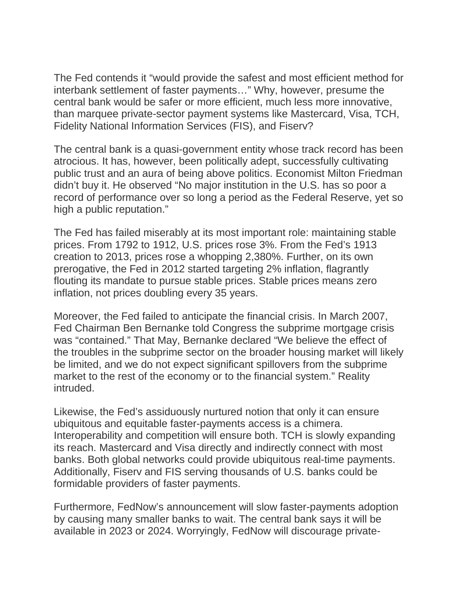The Fed contends it "would provide the safest and most efficient method for interbank settlement of faster payments…" Why, however, presume the central bank would be safer or more efficient, much less more innovative, than marquee private-sector payment systems like Mastercard, Visa, TCH, Fidelity National Information Services (FIS), and Fiserv?

The central bank is a quasi-government entity whose track record has been atrocious. It has, however, been politically adept, successfully cultivating public trust and an aura of being above politics. Economist Milton Friedman didn't buy it. He observed "No major institution in the U.S. has so poor a record of performance over so long a period as the Federal Reserve, yet so high a public reputation."

The Fed has failed miserably at its most important role: maintaining stable prices. From 1792 to 1912, U.S. prices rose 3%. From the Fed's 1913 creation to 2013, prices rose a whopping 2,380%. Further, on its own prerogative, the Fed in 2012 started targeting 2% inflation, flagrantly flouting its mandate to pursue stable prices. Stable prices means zero inflation, not prices doubling every 35 years.

Moreover, the Fed failed to anticipate the financial crisis. In March 2007, Fed Chairman Ben Bernanke told Congress the subprime mortgage crisis was "contained." That May, Bernanke declared "We believe the effect of the troubles in the subprime sector on the broader housing market will likely be limited, and we do not expect significant spillovers from the subprime market to the rest of the economy or to the financial system." Reality intruded.

Likewise, the Fed's assiduously nurtured notion that only it can ensure ubiquitous and equitable faster-payments access is a chimera. Interoperability and competition will ensure both. TCH is slowly expanding its reach. Mastercard and Visa directly and indirectly connect with most banks. Both global networks could provide ubiquitous real-time payments. Additionally, Fiserv and FIS serving thousands of U.S. banks could be formidable providers of faster payments.

Furthermore, FedNow's announcement will slow faster-payments adoption by causing many smaller banks to wait. The central bank says it will be available in 2023 or 2024. Worryingly, FedNow will discourage private